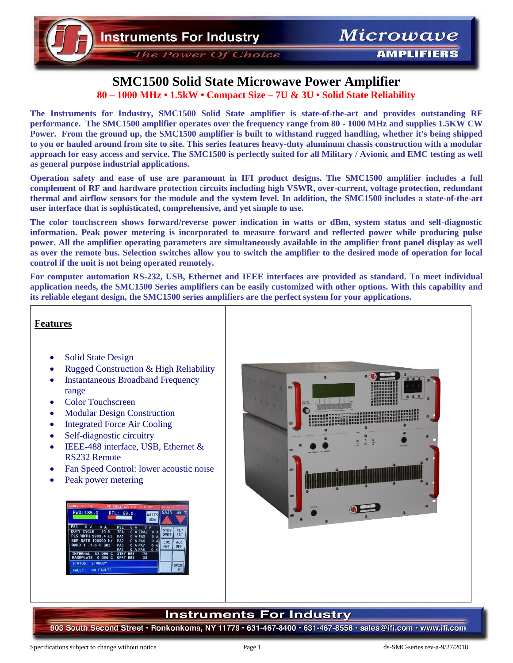The Power Of Choice

**AMPLIFIERS** 

### **SMC1500 Solid State Microwave Power Amplifier 80 – 1000 MHz • 1.5kW • Compact Size – 7U & 3U • Solid State Reliability**

**The Instruments for Industry, SMC1500 Solid State amplifier is state-of-the-art and provides outstanding RF performance. The SMC1500 amplifier operates over the frequency range from 80 - 1000 MHz and supplies 1.5KW CW Power. From the ground up, the SMC1500 amplifier is built to withstand rugged handling, whether it's being shipped to you or hauled around from site to site. This series features heavy-duty aluminum chassis construction with a modular approach for easy access and service. The SMC1500 is perfectly suited for all Military / Avionic and EMC testing as well as general purpose industrial applications.**

**Operation safety and ease of use are paramount in IFI product designs. The SMC1500 amplifier includes a full complement of RF and hardware protection circuits including high VSWR, over-current, voltage protection, redundant thermal and airflow sensors for the module and the system level. In addition, the SMC1500 includes a state-of-the-art user interface that is sophisticated, comprehensive, and yet simple to use.** 

**The color touchscreen shows forward/reverse power indication in watts or dBm, system status and self-diagnostic information. Peak power metering is incorporated to measure forward and reflected power while producing pulse power. All the amplifier operating parameters are simultaneously available in the amplifier front panel display as well as over the remote bus. Selection switches allow you to switch the amplifier to the desired mode of operation for local control if the unit is not being operated remotely.** 

**For computer automation RS-232, USB, Ethernet and IEEE interfaces are provided as standard. To meet individual application needs, the SMC1500 Series amplifiers can be easily customized with other options. With this capability and its reliable elegant design, the SMC1500 series amplifiers are the perfect system for your applications.** 

#### **Features**

- Solid State Design
- Rugged Construction & High Reliability
- Instantaneous Broadband Frequency range
- Color Touchscreen
- Modular Design Construction
- Integrated Force Air Cooling
- Self-diagnostic circuitry
- IEEE-488 interface, USB, Ethernet & RS232 Remote
- Fan Speed Control: lower acoustic noise
- Peak power metering

| <b>MODEL S61-100</b>                                                                   | RF AMPLIFIER 1.0 - 6.0 GHz                                                        |                                                                     | IP: 64, 178.0.4     |                          |
|----------------------------------------------------------------------------------------|-----------------------------------------------------------------------------------|---------------------------------------------------------------------|---------------------|--------------------------|
| <b>FWD: 185.0</b>                                                                      | RFL: 68.0                                                                         | <b>WATTS</b><br>dBm                                                 | GATN                | 55 <sup>8</sup>          |
| <b>PS1</b><br>0 <sub>V</sub><br>0A<br><b>DUTY CYCLE</b><br>$10*$<br>PLS WDTH 9999.4 uS | <b>PS2</b><br>$\Omega$<br><b>v</b><br>TPA1<br>$\Omega$<br><b>PA1</b><br>0 A PA5   | $\mathbf{o}$<br>A<br>A TPA2<br>$\Omega$<br>A<br>$\mathbf{0}$<br>A   | <b>STBY</b><br>OPRT | <b>FLT</b><br><b>RST</b> |
| <b>REP RATE 100000 Hz</b><br>BAND 1 .1-6.0 GHz                                         | <b>PA2</b><br>0 A PA6<br>PA <sub>3</sub><br>$\mathbf{o}$<br><b>PA4</b><br>0 A PA8 | $\mathbf{0}$<br>A<br>A PA7<br>$\mathbf 0$<br>A<br>$\mathbf{0}$<br>A | LOC<br><b>RMT</b>   | <b>ALC</b><br>OFF        |
| <b>INTERNAL</b><br>32 DEG<br>$\epsilon$<br>0 DEG C<br><b>BASEPLATE</b>                 | <b>STBY</b><br><b>HRS</b><br><b>OPRT</b><br><b>HRS</b>                            | 179<br>59                                                           |                     |                          |
| <b>STANDBY</b><br><b>STATUS:</b><br><b>NO FAULTS</b><br><b>FAULT:</b>                  |                                                                                   |                                                                     |                     | <b>GPIB</b><br>9         |



### **Instruments For Industry**

903 South Second Street · Ronkonkoma, NY 11779 · 631-467-8400 · 631-467-8558 · sales@ifi.com · www.ifi.com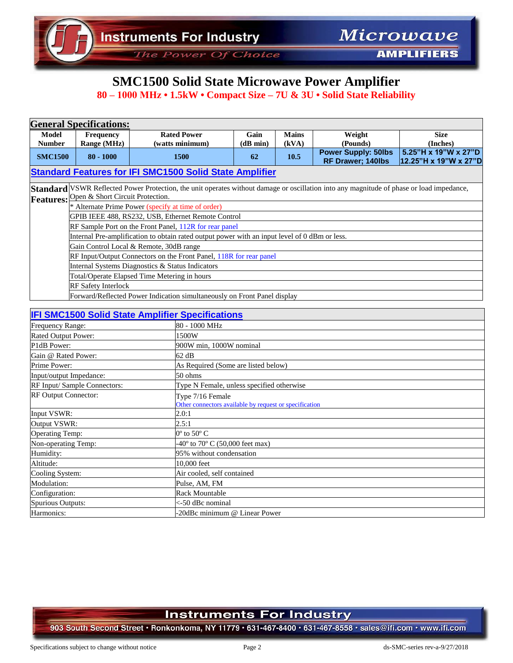The Power Of Choice

**AMPLIFIERS** 

# **SMC1500 Solid State Microwave Power Amplifier**

**80 – 1000 MHz • 1.5kW • Compact Size – 7U & 3U • Solid State Reliability**

| <b>General Specifications:</b>                                                                                                                                                         |                                                                                               |                    |                  |              |                                                        |                                               |
|----------------------------------------------------------------------------------------------------------------------------------------------------------------------------------------|-----------------------------------------------------------------------------------------------|--------------------|------------------|--------------|--------------------------------------------------------|-----------------------------------------------|
| Model                                                                                                                                                                                  | <b>Frequency</b>                                                                              | <b>Rated Power</b> | Gain             | <b>Mains</b> | Weight                                                 | <b>Size</b>                                   |
| <b>Number</b>                                                                                                                                                                          | Range (MHz)                                                                                   | (watts minimum)    | (d <b>B</b> min) | (kVA)        | (Pounds)                                               | (Inches)                                      |
| <b>SMC1500</b>                                                                                                                                                                         | $80 - 1000$                                                                                   | 1500               | 62               | 10.5         | <b>Power Supply: 50lbs</b><br><b>RF Drawer; 140lbs</b> | 5.25"H x 19"W x 27"D<br>12.25"H x 19"W x 27"D |
| <b>Standard Features for IFI SMC1500 Solid State Amplifier</b>                                                                                                                         |                                                                                               |                    |                  |              |                                                        |                                               |
| Standard VSWR Reflected Power Protection, the unit operates without damage or oscillation into any magnitude of phase or load impedance,<br>Features: Open & Short Circuit Protection. |                                                                                               |                    |                  |              |                                                        |                                               |
|                                                                                                                                                                                        | * Alternate Prime Power (specify at time of order)                                            |                    |                  |              |                                                        |                                               |
|                                                                                                                                                                                        | GPIB IEEE 488, RS232, USB, Ethernet Remote Control                                            |                    |                  |              |                                                        |                                               |
|                                                                                                                                                                                        | RF Sample Port on the Front Panel, 112R for rear panel                                        |                    |                  |              |                                                        |                                               |
|                                                                                                                                                                                        | Internal Pre-amplification to obtain rated output power with an input level of 0 dBm or less. |                    |                  |              |                                                        |                                               |
|                                                                                                                                                                                        | Gain Control Local & Remote, 30dB range                                                       |                    |                  |              |                                                        |                                               |
|                                                                                                                                                                                        | RF Input/Output Connectors on the Front Panel, 118R for rear panel                            |                    |                  |              |                                                        |                                               |
|                                                                                                                                                                                        | Internal Systems Diagnostics & Status Indicators                                              |                    |                  |              |                                                        |                                               |
|                                                                                                                                                                                        | Total/Operate Elapsed Time Metering in hours                                                  |                    |                  |              |                                                        |                                               |
|                                                                                                                                                                                        | <b>RF Safety Interlock</b>                                                                    |                    |                  |              |                                                        |                                               |
|                                                                                                                                                                                        | Forward/Reflected Power Indication simultaneously on Front Panel display                      |                    |                  |              |                                                        |                                               |

#### **IFI SMC1500 Solid State Amplifier Specifications**

| Frequency Range:             | 80 - 1000 MHz                                                              |  |  |  |
|------------------------------|----------------------------------------------------------------------------|--|--|--|
| Rated Output Power:          | 1500W                                                                      |  |  |  |
| P1dB Power:                  | 900W min, 1000W nominal                                                    |  |  |  |
| Gain @ Rated Power:          | 62 dB                                                                      |  |  |  |
| Prime Power:                 | As Required (Some are listed below)                                        |  |  |  |
| Input/output Impedance:      | 50 ohms                                                                    |  |  |  |
| RF Input/ Sample Connectors: | Type N Female, unless specified otherwise                                  |  |  |  |
| <b>RF Output Connector:</b>  | Type 7/16 Female<br>Other connectors available by request or specification |  |  |  |
| Input VSWR:                  | 2.0:1                                                                      |  |  |  |
| Output VSWR:                 | 2.5:1                                                                      |  |  |  |
| <b>Operating Temp:</b>       | $0^{\circ}$ to 50 $^{\circ}$ C                                             |  |  |  |
| Non-operating Temp:          | $-40^{\circ}$ to $70^{\circ}$ C (50,000 feet max)                          |  |  |  |
| Humidity:                    | 95% without condensation                                                   |  |  |  |
| Altitude:                    | 10,000 feet                                                                |  |  |  |
| Cooling System:              | Air cooled, self contained                                                 |  |  |  |
| Modulation:                  | Pulse, AM, FM                                                              |  |  |  |
| Configuration:               | <b>Rack Mountable</b>                                                      |  |  |  |
| Spurious Outputs:            | <-50 dBc nominal                                                           |  |  |  |
| Harmonics:                   | -20dBc minimum @ Linear Power                                              |  |  |  |

#### **Instruments For Industry**

903 South Second Street · Ronkonkoma, NY 11779 · 631-467-8400 · 631-467-8558 · sales@ifi.com · www.ifi.com